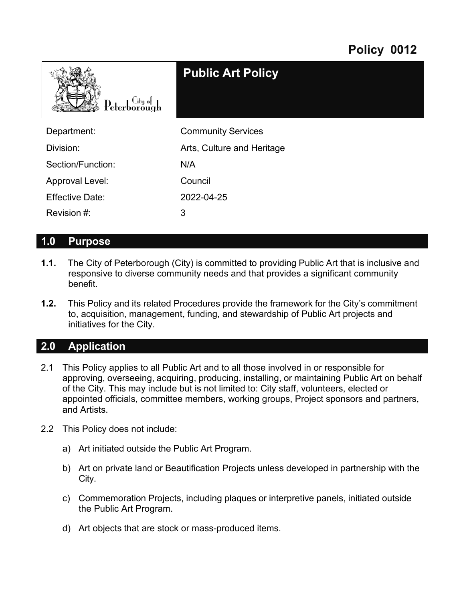### **Policy 0012**



#### **1.0 Purpose**

- **1.1.** The City of Peterborough (City) is committed to providing Public Art that is inclusive and responsive to diverse community needs and that provides a significant community benefit.
- **1.2.** This Policy and its related Procedures provide the framework for the City's commitment to, acquisition, management, funding, and stewardship of Public Art projects and initiatives for the City.

#### **2.0 Application**

- 2.1 This Policy applies to all Public Art and to all those involved in or responsible for approving, overseeing, acquiring, producing, installing, or maintaining Public Art on behalf of the City. This may include but is not limited to: City staff, volunteers, elected or appointed officials, committee members, working groups, Project sponsors and partners, and Artists.
- 2.2 This Policy does not include:
	- a) Art initiated outside the Public Art Program.
	- b) Art on private land or Beautification Projects unless developed in partnership with the City.
	- c) Commemoration Projects, including plaques or interpretive panels, initiated outside the Public Art Program.
	- d) Art objects that are stock or mass-produced items.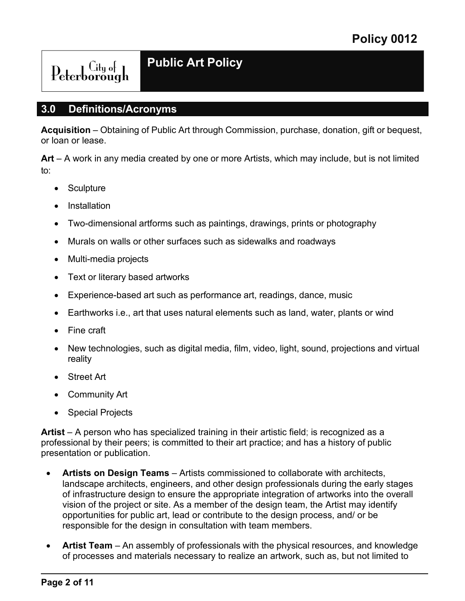### **Public Art Policy**

#### **3.0 Definitions/Acronyms**

**Acquisition** – Obtaining of Public Art through Commission, purchase, donation, gift or bequest, or loan or lease.

**Art** – A work in any media created by one or more Artists, which may include, but is not limited to:

- Sculpture
- **Installation**
- Two-dimensional artforms such as paintings, drawings, prints or photography
- Murals on walls or other surfaces such as sidewalks and roadways
- Multi-media projects
- Text or literary based artworks
- Experience-based art such as performance art, readings, dance, music
- Earthworks i.e., art that uses natural elements such as land, water, plants or wind
- Fine craft
- New technologies, such as digital media, film, video, light, sound, projections and virtual reality
- **Street Art**
- Community Art
- **Special Projects**

**Artist** – A person who has specialized training in their artistic field; is recognized as a professional by their peers; is committed to their art practice; and has a history of public presentation or publication.

- **Artists on Design Teams**  Artists commissioned to collaborate with architects, landscape architects, engineers, and other design professionals during the early stages of infrastructure design to ensure the appropriate integration of artworks into the overall vision of the project or site. As a member of the design team, the Artist may identify opportunities for public art, lead or contribute to the design process, and/ or be responsible for the design in consultation with team members.
- **Artist Team** An assembly of professionals with the physical resources, and knowledge of processes and materials necessary to realize an artwork, such as, but not limited to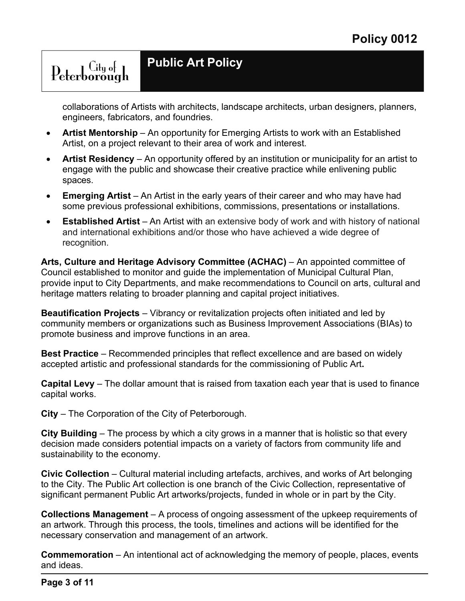**Public Art Policy**

collaborations of Artists with architects, landscape architects, urban designers, planners, engineers, fabricators, and foundries.

- **Artist Mentorship** An opportunity for Emerging Artists to work with an Established Artist, on a project relevant to their area of work and interest.
- **Artist Residency**  An opportunity offered by an institution or municipality for an artist to engage with the public and showcase their creative practice while enlivening public spaces.
- **Emerging Artist** An Artist in the early years of their career and who may have had some previous professional exhibitions, commissions, presentations or installations.
- **Established Artist** An Artist with an extensive body of work and with history of national and international exhibitions and/or those who have achieved a wide degree of recognition.

**Arts, Culture and Heritage Advisory Committee (ACHAC)** – An appointed committee of Council established to monitor and guide the implementation of Municipal Cultural Plan, provide input to City Departments, and make recommendations to Council on arts, cultural and heritage matters relating to broader planning and capital project initiatives.

**Beautification Projects** – Vibrancy or revitalization projects often initiated and led by community members or organizations such as Business Improvement Associations (BIAs) to promote business and improve functions in an area.

**Best Practice** – Recommended principles that reflect excellence and are based on widely accepted artistic and professional standards for the commissioning of Public Art**.** 

**Capital Levy** – The dollar amount that is raised from taxation each year that is used to finance capital works.

**City** – The Corporation of the City of Peterborough.

**City Building** – The process by which a city grows in a manner that is holistic so that every decision made considers potential impacts on a variety of factors from community life and sustainability to the economy.

**Civic Collection** – Cultural material including artefacts, archives, and works of Art belonging to the City. The Public Art collection is one branch of the Civic Collection, representative of significant permanent Public Art artworks/projects, funded in whole or in part by the City.

**Collections Management** – A process of ongoing assessment of the upkeep requirements of an artwork. Through this process, the tools, timelines and actions will be identified for the necessary conservation and management of an artwork.

**Commemoration** – An intentional act of acknowledging the memory of people, places, events and ideas.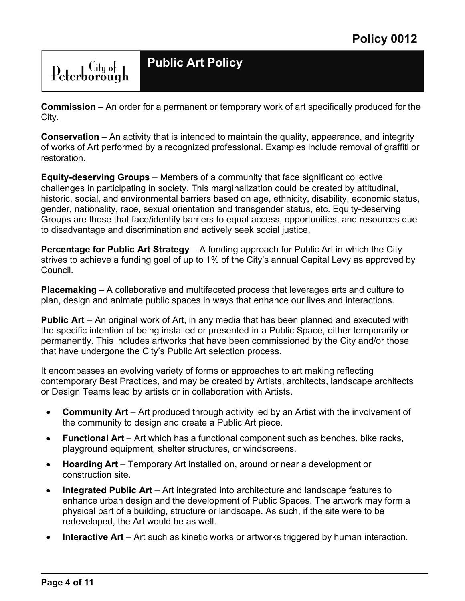## $\text{Peterborough} \$

**Public Art Policy**

**Commission** – An order for a permanent or temporary work of art specifically produced for the City.

**Conservation** – An activity that is intended to maintain the quality, appearance, and integrity of works of Art performed by a recognized professional. Examples include removal of graffiti or restoration.

**Equity-deserving Groups** – Members of a community that face significant collective challenges in participating in society. This marginalization could be created by attitudinal, historic, social, and environmental barriers based on age, ethnicity, disability, economic status, gender, nationality, race, sexual orientation and transgender status, etc. Equity-deserving Groups are those that face/identify barriers to equal access, opportunities, and resources due to disadvantage and discrimination and actively seek social justice.

**Percentage for Public Art Strategy** – A funding approach for Public Art in which the City strives to achieve a funding goal of up to 1% of the City's annual Capital Levy as approved by **Council** 

**Placemaking** – A collaborative and multifaceted process that leverages arts and culture to plan, design and animate public spaces in ways that enhance our lives and interactions.

**Public Art** – An original work of Art, in any media that has been planned and executed with the specific intention of being installed or presented in a Public Space, either temporarily or permanently. This includes artworks that have been commissioned by the City and/or those that have undergone the City's Public Art selection process.

It encompasses an evolving variety of forms or approaches to art making reflecting contemporary Best Practices, and may be created by Artists, architects, landscape architects or Design Teams lead by artists or in collaboration with Artists.

- **Community Art** Art produced through activity led by an Artist with the involvement of the community to design and create a Public Art piece.
- **Functional Art** Art which has a functional component such as benches, bike racks, playground equipment, shelter structures, or windscreens.
- **Hoarding Art** Temporary Art installed on, around or near a development or construction site.
- **Integrated Public Art** Art integrated into architecture and landscape features to enhance urban design and the development of Public Spaces. The artwork may form a physical part of a building, structure or landscape. As such, if the site were to be redeveloped, the Art would be as well.
- **Interactive Art** Art such as kinetic works or artworks triggered by human interaction.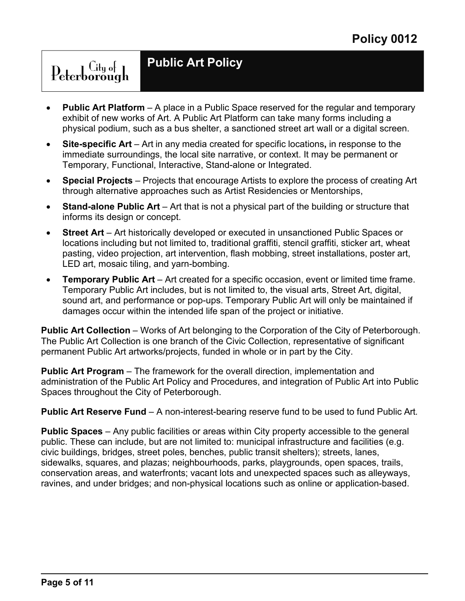### **Public Art Policy**

- **Public Art Platform** A place in a Public Space reserved for the regular and temporary exhibit of new works of Art. A Public Art Platform can take many forms including a physical podium, such as a bus shelter, a sanctioned street art wall or a digital screen.
- **Site-specific Art** Art in any media created for specific locations**,** in response to the immediate surroundings, the local site narrative, or context. It may be permanent or Temporary, Functional, Interactive, Stand-alone or Integrated.
- **Special Projects** Projects that encourage Artists to explore the process of creating Art through alternative approaches such as Artist Residencies or Mentorships,
- **Stand-alone Public Art** Art that is not a physical part of the building or structure that informs its design or concept.
- **Street Art** Art historically developed or executed in unsanctioned Public Spaces or locations including but not limited to, traditional graffiti, stencil graffiti, sticker art, wheat pasting, video projection, art intervention, flash mobbing, street installations, poster art, LED art, mosaic tiling, and yarn-bombing.
- **Temporary Public Art** Art created for a specific occasion, event or limited time frame. Temporary Public Art includes, but is not limited to, the visual arts, Street Art, digital, sound art, and performance or pop-ups. Temporary Public Art will only be maintained if damages occur within the intended life span of the project or initiative.

**Public Art Collection** – Works of Art belonging to the Corporation of the City of Peterborough. The Public Art Collection is one branch of the Civic Collection, representative of significant permanent Public Art artworks/projects, funded in whole or in part by the City.

**Public Art Program** – The framework for the overall direction, implementation and administration of the Public Art Policy and Procedures, and integration of Public Art into Public Spaces throughout the City of Peterborough.

**Public Art Reserve Fund** – A non-interest-bearing reserve fund to be used to fund Public Art.

**Public Spaces** – Any public facilities or areas within City property accessible to the general public. These can include, but are not limited to: municipal infrastructure and facilities (e.g. civic buildings, bridges, street poles, benches, public transit shelters); streets, lanes, sidewalks, squares, and plazas; neighbourhoods, parks, playgrounds, open spaces, trails, conservation areas, and waterfronts; vacant lots and unexpected spaces such as alleyways, ravines, and under bridges; and non-physical locations such as online or application-based.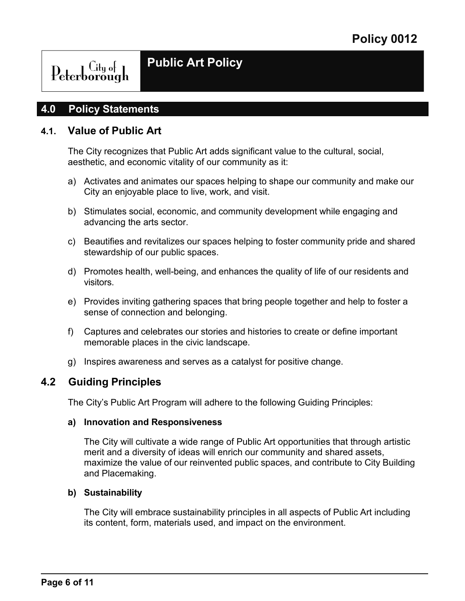### **Public Art Policy**

#### **4.0 Policy Statements**

#### **4.1. Value of Public Art**

The City recognizes that Public Art adds significant value to the cultural, social, aesthetic, and economic vitality of our community as it:

- a) Activates and animates our spaces helping to shape our community and make our City an enjoyable place to live, work, and visit.
- b) Stimulates social, economic, and community development while engaging and advancing the arts sector.
- c) Beautifies and revitalizes our spaces helping to foster community pride and shared stewardship of our public spaces.
- d) Promotes health, well-being, and enhances the quality of life of our residents and visitors.
- e) Provides inviting gathering spaces that bring people together and help to foster a sense of connection and belonging.
- f) Captures and celebrates our stories and histories to create or define important memorable places in the civic landscape.
- g) Inspires awareness and serves as a catalyst for positive change.

#### **4.2 Guiding Principles**

The City's Public Art Program will adhere to the following Guiding Principles:

#### **a) Innovation and Responsiveness**

The City will cultivate a wide range of Public Art opportunities that through artistic merit and a diversity of ideas will enrich our community and shared assets, maximize the value of our reinvented public spaces, and contribute to City Building and Placemaking.

#### **b) Sustainability**

The City will embrace sustainability principles in all aspects of Public Art including its content, form, materials used, and impact on the environment.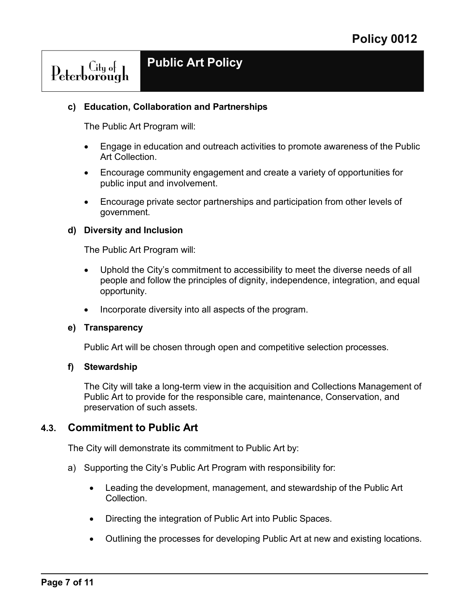### **Public Art Policy**

#### **c) Education, Collaboration and Partnerships**

The Public Art Program will:

- Engage in education and outreach activities to promote awareness of the Public Art Collection.
- Encourage community engagement and create a variety of opportunities for public input and involvement.
- Encourage private sector partnerships and participation from other levels of government.

#### **d) Diversity and Inclusion**

The Public Art Program will:

- Uphold the City's commitment to accessibility to meet the diverse needs of all people and follow the principles of dignity, independence, integration, and equal opportunity.
- Incorporate diversity into all aspects of the program.

#### **e) Transparency**

Public Art will be chosen through open and competitive selection processes.

#### **f) Stewardship**

The City will take a long-term view in the acquisition and Collections Management of Public Art to provide for the responsible care, maintenance, Conservation, and preservation of such assets.

#### **4.3. Commitment to Public Art**

The City will demonstrate its commitment to Public Art by:

- a) Supporting the City's Public Art Program with responsibility for:
	- Leading the development, management, and stewardship of the Public Art **Collection**
	- Directing the integration of Public Art into Public Spaces.
	- Outlining the processes for developing Public Art at new and existing locations.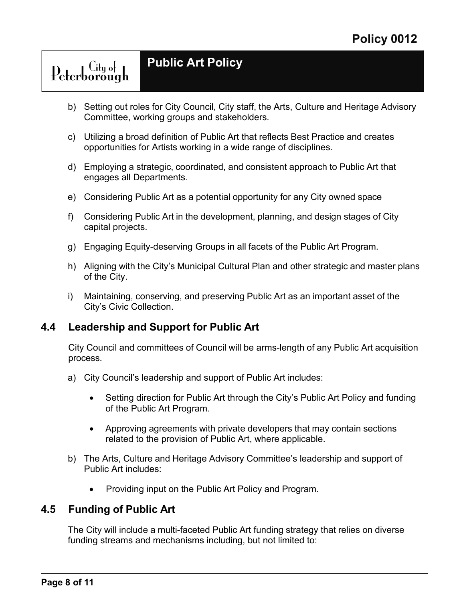- b) Setting out roles for City Council, City staff, the Arts, Culture and Heritage Advisory Committee, working groups and stakeholders.
- c) Utilizing a broad definition of Public Art that reflects Best Practice and creates opportunities for Artists working in a wide range of disciplines.
- d) Employing a strategic, coordinated, and consistent approach to Public Art that engages all Departments.
- e) Considering Public Art as a potential opportunity for any City owned space
- f) Considering Public Art in the development, planning, and design stages of City capital projects.
- g) Engaging Equity-deserving Groups in all facets of the Public Art Program.
- h) Aligning with the City's Municipal Cultural Plan and other strategic and master plans of the City.
- i) Maintaining, conserving, and preserving Public Art as an important asset of the City's Civic Collection.

#### **4.4 Leadership and Support for Public Art**

City Council and committees of Council will be arms-length of any Public Art acquisition process.

- a) City Council's leadership and support of Public Art includes:
	- Setting direction for Public Art through the City's Public Art Policy and funding of the Public Art Program.
	- Approving agreements with private developers that may contain sections related to the provision of Public Art, where applicable.
- b) The Arts, Culture and Heritage Advisory Committee's leadership and support of Public Art includes:
	- Providing input on the Public Art Policy and Program.

#### **4.5 Funding of Public Art**

The City will include a multi-faceted Public Art funding strategy that relies on diverse funding streams and mechanisms including, but not limited to: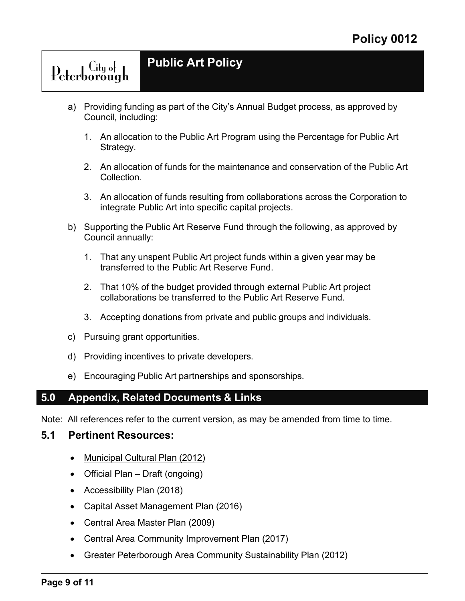### **Public Art Policy**

- a) Providing funding as part of the City's Annual Budget process, as approved by Council, including:
	- 1. An allocation to the Public Art Program using the Percentage for Public Art Strategy.
	- 2. An allocation of funds for the maintenance and conservation of the Public Art **Collection**
	- 3. An allocation of funds resulting from collaborations across the Corporation to integrate Public Art into specific capital projects.
- b) Supporting the Public Art Reserve Fund through the following, as approved by Council annually:
	- 1. That any unspent Public Art project funds within a given year may be transferred to the Public Art Reserve Fund.
	- 2. That 10% of the budget provided through external Public Art project collaborations be transferred to the Public Art Reserve Fund.
	- 3. Accepting donations from private and public groups and individuals.
- c) Pursuing grant opportunities.
- d) Providing incentives to private developers.
- e) Encouraging Public Art partnerships and sponsorships.

#### **5.0 Appendix, Related Documents & Links**

Note: All references refer to the current version, as may be amended from time to time.

#### **5.1 Pertinent Resources:**

- Municipal Cultural Plan (2012)
- Official Plan Draft (ongoing)
- Accessibility Plan (2018)
- Capital Asset Management Plan (2016)
- Central Area Master Plan (2009)
- Central Area Community Improvement Plan (2017)
- Greater Peterborough Area Community Sustainability Plan (2012)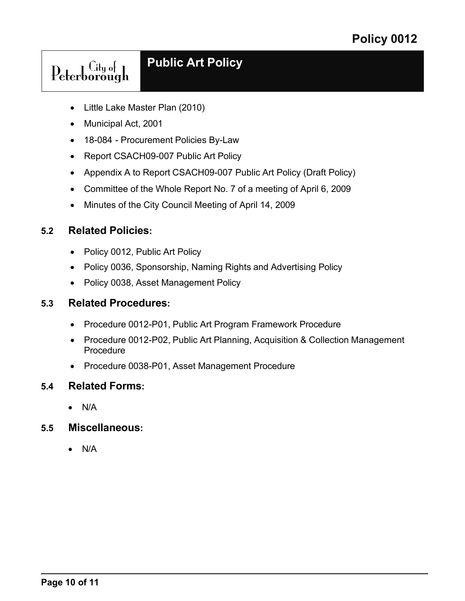## **Policy 0012**

## **Public Art Policy**

## $\operatorname{Peterborough}$

- Little Lake Master Plan (2010)
- Municipal Act, 2001
- 18-084 Procurement Policies By-Law
- Report CSACH09-007 Public Art Policy
- Appendix A to Report CSACH09-007 Public Art Policy (Draft Policy)
- Committee of the Whole Report No. 7 of a meeting of April 6, 2009
- Minutes of the City Council Meeting of April 14, 2009

#### **5.2 Related Policies:**

- Policy 0012, Public Art Policy
- Policy 0036, Sponsorship, Naming Rights and Advertising Policy
- Policy 0038, Asset Management Policy

#### **5.3 Related Procedures:**

- Procedure 0012-P01, Public Art Program Framework Procedure
- Procedure 0012-P02, Public Art Planning, Acquisition & Collection Management Procedure
- Procedure 0038-P01, Asset Management Procedure

#### **5.4 Related Forms:**

• N/A

#### **5.5 Miscellaneous:**

• N/A